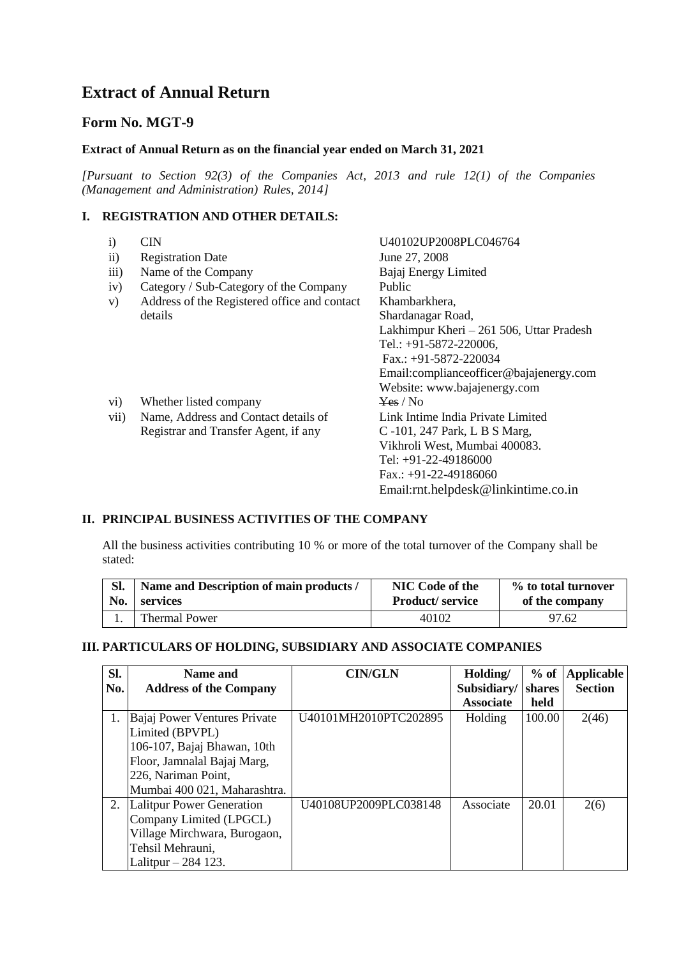# **Extract of Annual Return**

# **Form No. MGT-9**

#### **Extract of Annual Return as on the financial year ended on March 31, 2021**

*[Pursuant to Section 92(3) of the Companies Act, 2013 and rule 12(1) of the Companies (Management and Administration) Rules, 2014]*

### **I. REGISTRATION AND OTHER DETAILS:**

| $\mathbf{i}$ |           | <b>CIN</b>                                   | U40102UP2008PLC046764                    |
|--------------|-----------|----------------------------------------------|------------------------------------------|
|              | $\rm ii)$ | <b>Registration Date</b>                     | June 27, 2008                            |
|              | iii)      | Name of the Company                          | Bajaj Energy Limited                     |
|              | iv)       | Category / Sub-Category of the Company       | Public                                   |
|              | V)        | Address of the Registered office and contact | Khambarkhera,                            |
|              |           | details                                      | Shardanagar Road,                        |
|              |           |                                              | Lakhimpur Kheri – 261 506, Uttar Pradesh |
|              |           |                                              | Tel.: +91-5872-220006,                   |
|              |           |                                              | Fax.: $+91-5872-220034$                  |
|              |           |                                              | Email:complianceofficer@bajajenergy.com  |
|              |           |                                              | Website: www.bajajenergy.com             |
|              | $\rm vi)$ | Whether listed company                       | Yes / No                                 |
|              | vii)      | Name, Address and Contact details of         | Link Intime India Private Limited        |
|              |           | Registrar and Transfer Agent, if any         | C-101, 247 Park, L B S Marg,             |
|              |           |                                              | Vikhroli West, Mumbai 400083.            |
|              |           |                                              | Tel: $+91-22-49186000$                   |
|              |           |                                              | Fax.: $+91-22-49186060$                  |
|              |           |                                              |                                          |

#### **II. PRINCIPAL BUSINESS ACTIVITIES OF THE COMPANY**

All the business activities contributing 10 % or more of the total turnover of the Company shall be stated:

| Sl. | Name and Description of main products / | NIC Code of the        | % to total turnover |
|-----|-----------------------------------------|------------------------|---------------------|
| No. | services                                | <b>Product/service</b> | of the company      |
|     | <b>Thermal Power</b>                    | 40102                  | 97.62               |

Email:rnt.helpdesk@linkintime.co.in

## **III. PARTICULARS OF HOLDING, SUBSIDIARY AND ASSOCIATE COMPANIES**

| Sl. | Name and                      | <b>CIN/GLN</b>        | Holding/         | $%$ of | <b>Applicable</b> |
|-----|-------------------------------|-----------------------|------------------|--------|-------------------|
| No. | <b>Address of the Company</b> |                       | Subsidiary/      | shares | <b>Section</b>    |
|     |                               |                       | <b>Associate</b> | held   |                   |
| 1.  | Bajaj Power Ventures Private  | U40101MH2010PTC202895 | Holding          | 100.00 | 2(46)             |
|     | Limited (BPVPL)               |                       |                  |        |                   |
|     | 106-107, Bajaj Bhawan, 10th   |                       |                  |        |                   |
|     | Floor, Jamnalal Bajaj Marg,   |                       |                  |        |                   |
|     | 226, Nariman Point,           |                       |                  |        |                   |
|     | Mumbai 400 021, Maharashtra.  |                       |                  |        |                   |
| 2.  | Lalitpur Power Generation     | U40108UP2009PLC038148 | Associate        | 20.01  | 2(6)              |
|     | Company Limited (LPGCL)       |                       |                  |        |                   |
|     | Village Mirchwara, Burogaon,  |                       |                  |        |                   |
|     | Tehsil Mehrauni,              |                       |                  |        |                   |
|     | Lalitpur $-284$ 123.          |                       |                  |        |                   |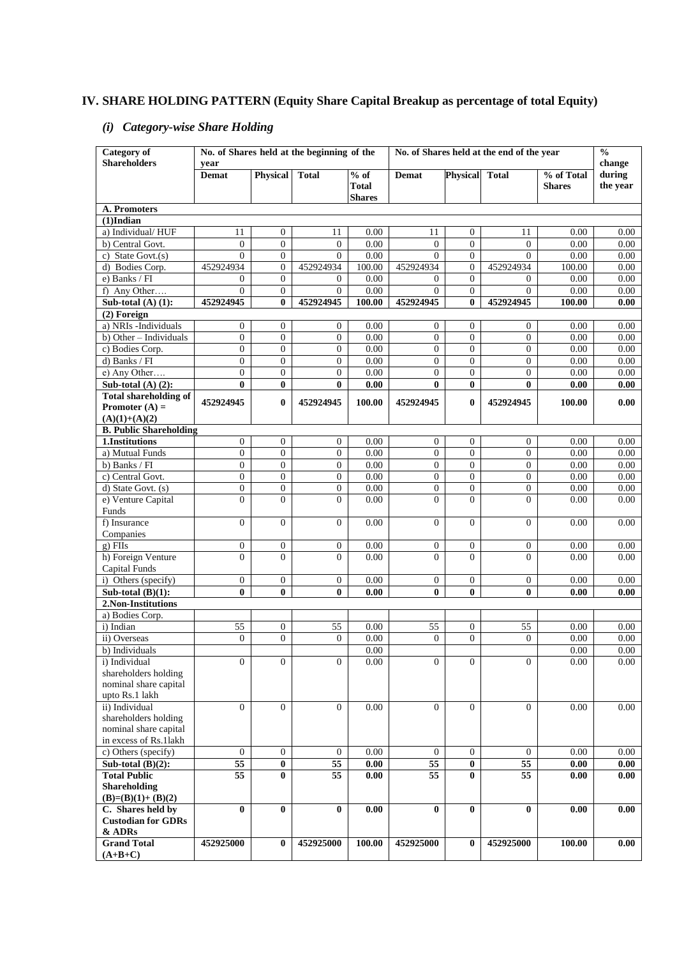# **IV. SHARE HOLDING PATTERN (Equity Share Capital Breakup as percentage of total Equity)**

# *(i) Category-wise Share Holding*

| <b>Category</b> of<br><b>Shareholders</b>      |                                  |                            | No. of Shares held at the beginning of the |                   | No. of Shares held at the end of the year |                     |                          | $\frac{0}{0}$ |                  |
|------------------------------------------------|----------------------------------|----------------------------|--------------------------------------------|-------------------|-------------------------------------------|---------------------|--------------------------|---------------|------------------|
|                                                | vear<br><b>Demat</b>             | <b>Physical</b>            | <b>Total</b>                               | $%$ of            | Demat                                     | <b>Physical</b>     | <b>Total</b>             | % of Total    | change<br>during |
|                                                |                                  |                            |                                            | <b>Total</b>      |                                           |                     |                          | <b>Shares</b> | the year         |
|                                                |                                  |                            |                                            | <b>Shares</b>     |                                           |                     |                          |               |                  |
| A. Promoters                                   |                                  |                            |                                            |                   |                                           |                     |                          |               |                  |
| $(1)$ Indian                                   |                                  |                            |                                            |                   |                                           |                     |                          |               |                  |
| a) Individual/HUF                              | 11                               | $\mathbf{0}$               | 11                                         | 0.00              | 11                                        | $\overline{0}$      | 11                       | 0.00          | $0.00\,$         |
| b) Central Govt.                               | $\boldsymbol{0}$                 | $\mathbf{0}$               | $\mathbf{0}$                               | 0.00              | $\mathbf{0}$                              | $\overline{0}$      | $\mathbf{0}$             | 0.00          | 0.00             |
| c) State Govt.(s)                              | $\overline{0}$                   | $\overline{0}$             | $\overline{0}$                             | 0.00              | $\Omega$                                  | $\overline{0}$      | $\Omega$                 | 0.00          | 0.00             |
| d) Bodies Corp.                                | 452924934                        | $\overline{0}$             | 452924934                                  | 100.00            | 452924934                                 | $\overline{0}$      | 452924934                | 100.00        | 0.00             |
| e) Banks / FI                                  | $\overline{0}$<br>$\overline{0}$ | $\overline{0}$             | $\overline{0}$<br>$\overline{0}$           | 0.00              | $\overline{0}$<br>$\overline{0}$          | $\overline{0}$      | $\mathbf{0}$<br>$\Omega$ | 0.00          | 0.00             |
| f) Any Other<br>Sub-total $(A)$ $(1)$ :        | 452924945                        | $\overline{0}$<br>$\bf{0}$ | 452924945                                  | 0.00              | 452924945                                 | $\overline{0}$<br>0 | 452924945                | 0.00          | 0.00             |
| (2) Foreign                                    |                                  |                            |                                            | 100.00            |                                           |                     |                          | 100.00        | 0.00             |
| a) NRIs -Individuals                           | $\boldsymbol{0}$                 | $\overline{0}$             | $\mathbf{0}$                               | 0.00              | $\overline{0}$                            | $\overline{0}$      | $\overline{0}$           | 0.00          | $0.00\,$         |
| b) Other - Individuals                         | $\boldsymbol{0}$                 | $\overline{0}$             | $\overline{0}$                             | 0.00              | $\overline{0}$                            | $\overline{0}$      | $\mathbf{0}$             | 0.00          | 0.00             |
| c) Bodies Corp.                                | $\overline{0}$                   | $\overline{0}$             | $\overline{0}$                             | 0.00              | $\mathbf{0}$                              | $\overline{0}$      | $\mathbf{0}$             | 0.00          | 0.00             |
| d) Banks / FI                                  | $\overline{0}$                   | $\mathbf{0}$               | $\overline{0}$                             | 0.00              | $\overline{0}$                            | $\theta$            | $\Omega$                 | 0.00          | 0.00             |
| e) Any Other                                   | $\overline{0}$                   | $\boldsymbol{0}$           | $\overline{0}$                             | 0.00              | $\overline{0}$                            | $\overline{0}$      | $\overline{0}$           | 0.00          | 0.00             |
| Sub-total $(A)$ $(2)$ :                        | $\bf{0}$                         | $\bf{0}$                   | $\bf{0}$                                   | 0.00              | $\bf{0}$                                  | $\bf{0}$            | 0                        | 0.00          | 0.00             |
| <b>Total shareholding of</b>                   |                                  |                            |                                            |                   |                                           |                     |                          |               |                  |
| Promoter $(A)$ =                               | 452924945                        | $\bf{0}$                   | 452924945                                  | 100.00            | 452924945                                 | 0                   | 452924945                | 100.00        | 0.00             |
| $(A)(1)+(A)(2)$                                |                                  |                            |                                            |                   |                                           |                     |                          |               |                  |
| <b>B. Public Shareholding</b>                  |                                  |                            |                                            |                   |                                           |                     |                          |               |                  |
| 1.Institutions                                 | $\overline{0}$                   | $\overline{0}$             | $\overline{0}$                             | 0.00              | $\overline{0}$                            | $\overline{0}$      | $\overline{0}$           | 0.00          | 0.00             |
| a) Mutual Funds                                | $\overline{0}$                   | $\overline{0}$             | $\overline{0}$                             | 0.00              | $\mathbf{0}$                              | $\overline{0}$      | $\mathbf{0}$             | 0.00          | 0.00             |
| b) Banks / FI                                  | $\boldsymbol{0}$                 | $\mathbf{0}$               | $\overline{0}$                             | 0.00              | $\mathbf{0}$                              | $\overline{0}$      | $\mathbf{0}$             | 0.00          | 0.00             |
| c) Central Govt.                               | $\overline{0}$                   | $\overline{0}$             | $\overline{0}$                             | 0.00              | $\overline{0}$                            | $\theta$            | $\Omega$                 | 0.00          | 0.00             |
| d) State Govt. (s)                             | 0                                | $\boldsymbol{0}$           | $\overline{0}$                             | 0.00              | $\boldsymbol{0}$                          | $\overline{0}$      | $\mathbf{0}$             | 0.00          | 0.00             |
| e) Venture Capital<br>Funds                    | $\overline{0}$                   | $\Omega$                   | $\overline{0}$                             | 0.00              | $\Omega$                                  | $\Omega$            | $\Omega$                 | 0.00          | 0.00             |
| f) Insurance                                   | $\overline{0}$                   | $\Omega$                   | $\overline{0}$                             | 0.00              | $\overline{0}$                            | $\overline{0}$      | $\Omega$                 | 0.00          | 0.00             |
| Companies                                      |                                  |                            |                                            |                   |                                           |                     |                          |               |                  |
| g) FIIs                                        | $\boldsymbol{0}$                 | $\mathbf{0}$               | $\boldsymbol{0}$                           | 0.00              | $\boldsymbol{0}$                          | $\boldsymbol{0}$    | $\mathbf{0}$             | 0.00          | 0.00             |
| h) Foreign Venture                             | $\theta$                         | $\Omega$                   | $\Omega$                                   | 0.00              | $\Omega$                                  | $\Omega$            | $\Omega$                 | 0.00          | 0.00             |
| Capital Funds                                  |                                  |                            |                                            |                   |                                           |                     |                          |               |                  |
| i) Others (specify)                            | $\boldsymbol{0}$                 | $\mathbf{0}$               | $\boldsymbol{0}$                           | 0.00              | $\overline{0}$                            | $\boldsymbol{0}$    | $\mathbf{0}$             | 0.00          | 0.00             |
| Sub-total $(B)(1)$ :                           | $\bf{0}$                         | $\bf{0}$                   | $\bf{0}$                                   | 0.00              | $\bf{0}$                                  | $\bf{0}$            | $\bf{0}$                 | 0.00          | 0.00             |
| 2.Non-Institutions                             |                                  |                            |                                            |                   |                                           |                     |                          |               |                  |
| a) Bodies Corp.                                |                                  |                            |                                            |                   |                                           |                     |                          |               |                  |
| i) Indian                                      | 55                               | $\mathbf{0}$               | 55                                         | 0.00              | 55                                        | $\boldsymbol{0}$    | 55                       | 0.00          | 0.00             |
| ii) Overseas                                   | $\overline{0}$                   | $\mathbf{0}$               | $\overline{0}$                             | 0.00              | $\overline{0}$                            | $\overline{0}$      | $\Omega$                 | 0.00          | 0.00             |
| b) Individuals                                 |                                  |                            |                                            | 0.00              |                                           |                     |                          | 0.00          | $0.00\,$         |
| i) Individual                                  | $\boldsymbol{0}$                 | $\overline{0}$             | $\overline{0}$                             | 0.00              | $\overline{0}$                            | $\overline{0}$      | $\overline{0}$           | 0.00          | $0.00\,$         |
| shareholders holding<br>nominal share capital  |                                  |                            |                                            |                   |                                           |                     |                          |               |                  |
| upto Rs.1 lakh                                 |                                  |                            |                                            |                   |                                           |                     |                          |               |                  |
| ii) Individual                                 | $\overline{0}$                   | $\Omega$                   | $\Omega$                                   | 0.00              | $\overline{0}$                            | $\Omega$            | $\Omega$                 | 0.00          | 0.00             |
| shareholders holding                           |                                  |                            |                                            |                   |                                           |                     |                          |               |                  |
| nominal share capital                          |                                  |                            |                                            |                   |                                           |                     |                          |               |                  |
| in excess of Rs.1lakh                          |                                  |                            |                                            |                   |                                           |                     |                          |               |                  |
| c) Others (specify)                            | $\mathbf{0}$                     | $\overline{0}$             | $\overline{0}$                             | 0.00              | $\overline{0}$                            | $\mathbf{0}$        | $\overline{0}$           | 0.00          | 0.00             |
| Sub-total $(B)(2)$ :                           | 55                               | $\pmb{0}$                  | 55                                         | 0.00              | 55                                        | $\bf{0}$            | 55                       | 0.00          | 0.00             |
| <b>Total Public</b>                            | 55                               | $\bf{0}$                   | 55                                         | $\overline{0.00}$ | 55                                        | $\bf{0}$            | 55                       | 0.00          | 0.00             |
| <b>Shareholding</b>                            |                                  |                            |                                            |                   |                                           |                     |                          |               |                  |
| $(B)=(B)(1)+(B)(2)$                            |                                  |                            |                                            |                   |                                           |                     |                          |               |                  |
| C. Shares held by<br><b>Custodian for GDRs</b> | $\bf{0}$                         | $\bf{0}$                   | $\bf{0}$                                   | 0.00              | $\mathbf{0}$                              | $\bf{0}$            | $\bf{0}$                 | 0.00          | 0.00             |
| & ADRs                                         |                                  |                            |                                            |                   |                                           |                     |                          |               |                  |
| <b>Grand Total</b>                             | 452925000                        | $\bf{0}$                   | 452925000                                  | 100.00            | 452925000                                 | $\bf{0}$            | 452925000                | 100.00        | 0.00             |
| $(A+B+C)$                                      |                                  |                            |                                            |                   |                                           |                     |                          |               |                  |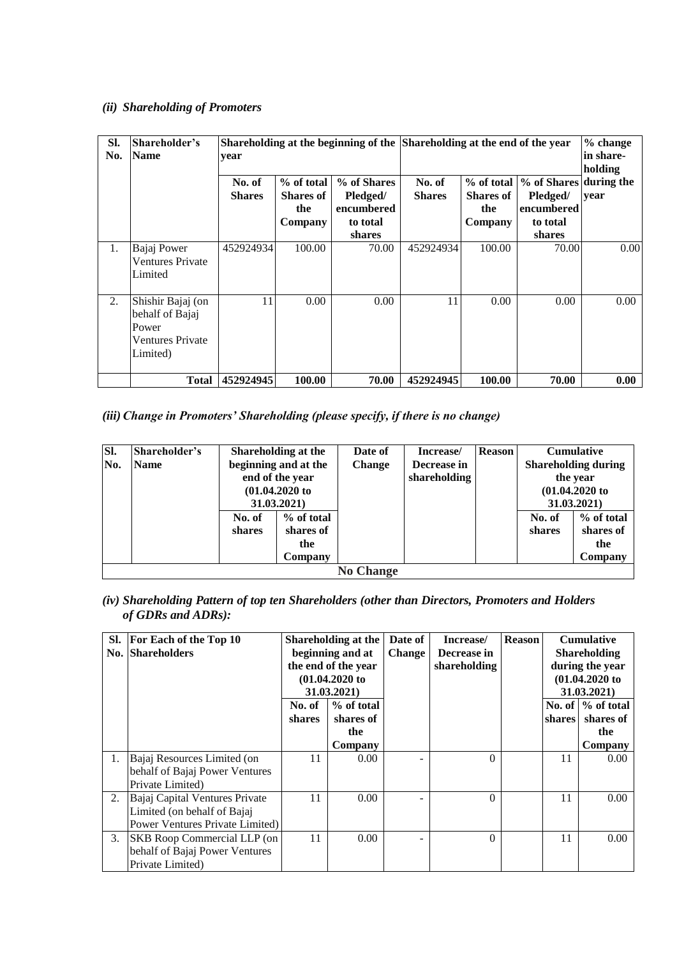### *(ii) Shareholding of Promoters*

| SI.<br>Shareholder's<br><b>Name</b><br>No.<br>year |                                                                                      |                         |                                                  |                                                             | Shareholding at the beginning of the Shareholding at the end of the year |                                                  |                                                                        | $%$ change<br>in share-<br>holding |
|----------------------------------------------------|--------------------------------------------------------------------------------------|-------------------------|--------------------------------------------------|-------------------------------------------------------------|--------------------------------------------------------------------------|--------------------------------------------------|------------------------------------------------------------------------|------------------------------------|
|                                                    |                                                                                      | No. of<br><b>Shares</b> | % of total<br><b>Shares of</b><br>the<br>Company | % of Shares<br>Pledged/<br>encumbered<br>to total<br>shares | No. of<br><b>Shares</b>                                                  | % of total<br><b>Shares of</b><br>the<br>Company | % of Shares during the<br>Pledged/<br>encumbered<br>to total<br>shares | year                               |
| 1.                                                 | Bajaj Power<br><b>Ventures Private</b><br>Limited                                    | 452924934               | 100.00                                           | 70.00                                                       | 452924934                                                                | 100.00                                           | 70.00                                                                  | 0.00                               |
| 2.                                                 | Shishir Bajaj (on<br>behalf of Bajaj<br>Power<br><b>Ventures Private</b><br>Limited) | 11                      | 0.00                                             | 0.00                                                        | 11                                                                       | 0.00                                             | 0.00                                                                   | 0.00                               |
|                                                    | <b>Total</b>                                                                         | 452924945               | 100.00                                           | 70.00                                                       | 452924945                                                                | 100.00                                           | 70.00                                                                  | 0.00                               |

*(iii)Change in Promoters' Shareholding (please specify, if there is no change)*

| SI. | Shareholder's | <b>Shareholding at the</b> |                      | Date of          | Increase/    | <b>Reason</b> |                            | <b>Cumulative</b> |
|-----|---------------|----------------------------|----------------------|------------------|--------------|---------------|----------------------------|-------------------|
| No. | <b>Name</b>   |                            | beginning and at the |                  | Decrease in  |               | <b>Shareholding during</b> |                   |
|     |               | end of the year            |                      |                  | shareholding |               | the year                   |                   |
|     |               | $(01.04.2020)$ to          |                      |                  |              |               |                            | $(01.04.2020)$ to |
|     |               | 31.03.2021                 |                      |                  |              |               | 31.03.2021)                |                   |
|     |               | No. of                     | % of total           |                  |              |               | No. of                     | % of total        |
|     |               | shares                     | shares of            |                  |              |               | shares                     | shares of         |
|     |               |                            | the                  |                  |              |               |                            | the               |
|     |               |                            | Company              |                  |              |               |                            | Company           |
|     |               |                            |                      | <b>No Change</b> |              |               |                            |                   |

*(iv) Shareholding Pattern of top ten Shareholders (other than Directors, Promoters and Holders of GDRs and ADRs):*

|    | Sl. For Each of the Top 10<br><b>No. Shareholders</b>                                            | Shareholding at the<br>beginning and at<br>the end of the year<br>$(01.04.2020)$ to<br>31.03.2021) |                                  | Date of<br><b>Change</b> | Increase/<br>Decrease in<br>shareholding | <b>Reason</b> |               | <b>Cumulative</b><br><b>Shareholding</b><br>during the year<br>$(01.04.2020)$ to<br>31.03.2021) |
|----|--------------------------------------------------------------------------------------------------|----------------------------------------------------------------------------------------------------|----------------------------------|--------------------------|------------------------------------------|---------------|---------------|-------------------------------------------------------------------------------------------------|
|    |                                                                                                  | No. of<br><b>shares</b>                                                                            | $%$ of total<br>shares of<br>the |                          |                                          |               | <b>shares</b> | No. of $\%$ of total<br>shares of<br>the                                                        |
|    | Bajaj Resources Limited (on<br>behalf of Bajaj Power Ventures<br>Private Limited)                | 11                                                                                                 | Company<br>0.00                  |                          | $\Omega$                                 |               | 11            | Company<br>0.00                                                                                 |
| 2. | Bajaj Capital Ventures Private<br>Limited (on behalf of Bajaj<br>Power Ventures Private Limited) | 11                                                                                                 | 0.00                             |                          | $\Omega$                                 |               | 11            | 0.00                                                                                            |
|    | 3. SKB Roop Commercial LLP (on<br>behalf of Bajaj Power Ventures<br>Private Limited)             | 11                                                                                                 | 0.00                             |                          | $\Omega$                                 |               | 11            | $0.00^{\circ}$                                                                                  |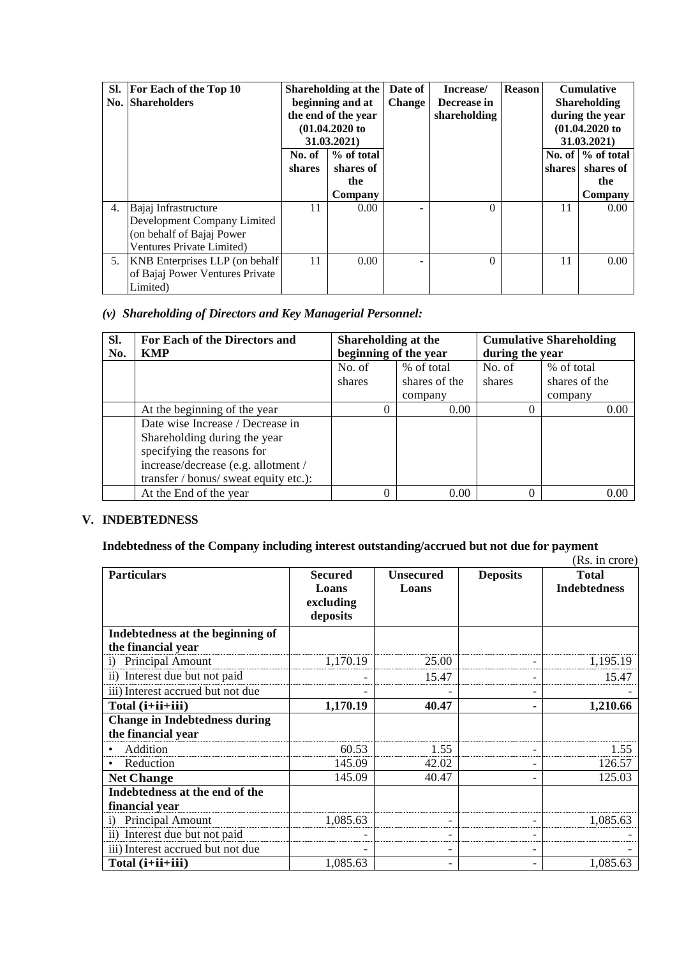|    | Sl. For Each of the Top 10         |        | Shareholding at the               | Date of | Increase/    | <b>Reason</b> |               | <b>Cumulative</b>    |
|----|------------------------------------|--------|-----------------------------------|---------|--------------|---------------|---------------|----------------------|
|    | <b>No. Shareholders</b>            |        | beginning and at<br><b>Change</b> |         | Decrease in  |               |               | <b>Shareholding</b>  |
|    |                                    |        | the end of the year               |         | shareholding |               |               | during the year      |
|    |                                    |        | $(01.04.2020)$ to                 |         |              |               |               | $(01.04.2020)$ to    |
|    |                                    |        | 31.03.2021)                       |         |              |               |               | 31.03.2021)          |
|    |                                    | No. of | % of total                        |         |              |               |               | No. of $\%$ of total |
|    |                                    | shares | shares of                         |         |              |               | <b>shares</b> | shares of            |
|    |                                    |        | the                               |         |              |               |               | the                  |
|    |                                    |        | Company                           |         |              |               |               | Company              |
| 4. | Bajaj Infrastructure               | 11     | 0.00                              |         | $\Omega$     |               | 11            | 0.00                 |
|    | Development Company Limited        |        |                                   |         |              |               |               |                      |
|    | (on behalf of Bajaj Power          |        |                                   |         |              |               |               |                      |
|    | Ventures Private Limited)          |        |                                   |         |              |               |               |                      |
|    | 5. KNB Enterprises LLP (on behalf) | 11     | 0.00                              |         | $\Omega$     |               | 11            | 0.00                 |
|    | of Bajaj Power Ventures Private    |        |                                   |         |              |               |               |                      |
|    | Limited)                           |        |                                   |         |              |               |               |                      |

## *(v) Shareholding of Directors and Key Managerial Personnel:*

| SI.<br>No. | For Each of the Directors and<br><b>KMP</b> | Shareholding at the<br>beginning of the year |               | <b>Cumulative Shareholding</b><br>during the year |               |  |
|------------|---------------------------------------------|----------------------------------------------|---------------|---------------------------------------------------|---------------|--|
|            |                                             | No. of                                       | % of total    | No. of                                            | % of total    |  |
|            |                                             | shares                                       | shares of the | shares                                            | shares of the |  |
|            |                                             |                                              | company       |                                                   | company       |  |
|            | At the beginning of the year                | 0                                            | 0.00          | $\Omega$                                          | 0.00          |  |
|            | Date wise Increase / Decrease in            |                                              |               |                                                   |               |  |
|            | Shareholding during the year                |                                              |               |                                                   |               |  |
|            | specifying the reasons for                  |                                              |               |                                                   |               |  |
|            | increase/decrease (e.g. allotment /         |                                              |               |                                                   |               |  |
|            | transfer / bonus/ sweat equity etc.):       |                                              |               |                                                   |               |  |
|            | At the End of the year                      | 0                                            | 0.00          | $\Omega$                                          | 0.00          |  |

### **V. INDEBTEDNESS**

#### **Indebtedness of the Company including interest outstanding/accrued but not due for payment**

|                                                            |                                                  |                           |                          | (Rs. in crore)                      |
|------------------------------------------------------------|--------------------------------------------------|---------------------------|--------------------------|-------------------------------------|
| <b>Particulars</b>                                         | <b>Secured</b><br>Loans<br>excluding<br>deposits | <b>Unsecured</b><br>Loans | <b>Deposits</b>          | <b>Total</b><br><b>Indebtedness</b> |
| Indebtedness at the beginning of<br>the financial year     |                                                  |                           |                          |                                     |
| Principal Amount<br>$\ddot{1}$                             | 1,170.19                                         | 25.00                     | $\overline{\phantom{a}}$ | 1,195.19                            |
| ii) Interest due but not paid                              |                                                  | 15.47                     | $\overline{\phantom{a}}$ | 15.47                               |
| iii) Interest accrued but not due                          |                                                  |                           | $\overline{\phantom{a}}$ |                                     |
| Total (i+ii+iii)                                           | 1,170.19                                         | 40.47                     | ۰                        | 1,210.66                            |
| <b>Change in Indebtedness during</b><br>the financial year |                                                  |                           |                          |                                     |
| Addition                                                   | 60.53                                            | 1.55                      | $\overline{\phantom{a}}$ | 1.55                                |
| Reduction                                                  | 145.09                                           | 42.02                     | $\overline{\phantom{a}}$ | 126.57                              |
| <b>Net Change</b>                                          | 145.09                                           | 40.47                     | $\overline{\phantom{a}}$ | 125.03                              |
| Indebtedness at the end of the<br>financial year           |                                                  |                           |                          |                                     |
| Principal Amount<br>$\mathbf{i}$                           | 1,085.63                                         | $\overline{\phantom{a}}$  | $\overline{\phantom{a}}$ | 1,085.63                            |
| ii) Interest due but not paid                              | $\overline{\phantom{0}}$                         | $\overline{\phantom{a}}$  | $\qquad \qquad -$        |                                     |
| iii) Interest accrued but not due                          |                                                  | $\overline{\phantom{a}}$  | $\overline{\phantom{a}}$ |                                     |
| Total (i+ii+iii)                                           | 1,085.63                                         | $\overline{\phantom{a}}$  | $\overline{\phantom{a}}$ | 1,085.63                            |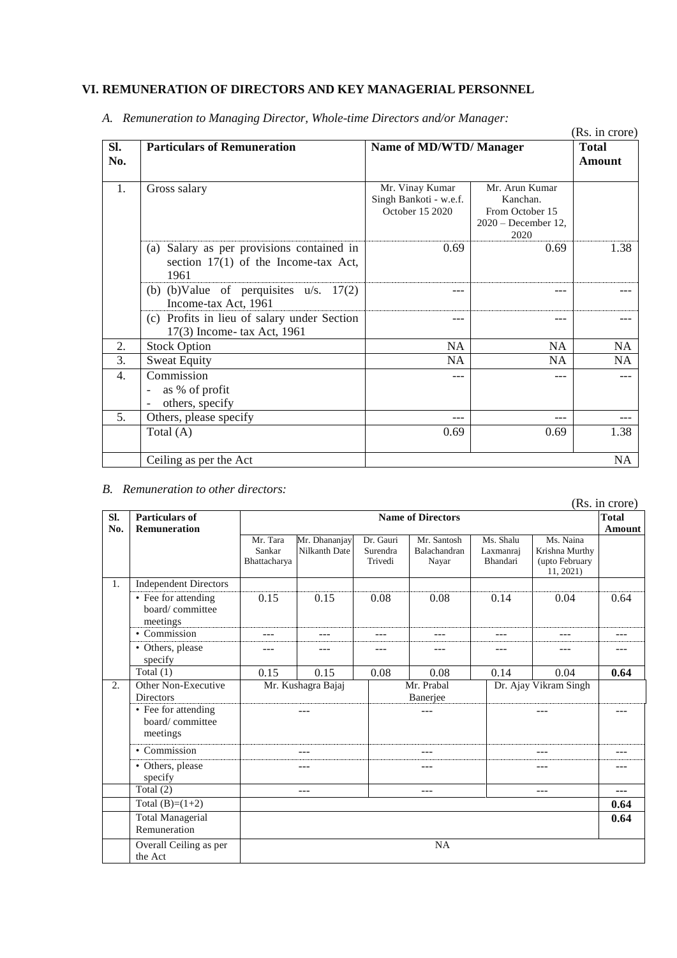### **VI. REMUNERATION OF DIRECTORS AND KEY MANAGERIAL PERSONNEL**

|                  |                                              |                         |                                | (Rs. in crore) |
|------------------|----------------------------------------------|-------------------------|--------------------------------|----------------|
| SI.              | <b>Particulars of Remuneration</b>           | Name of MD/WTD/ Manager |                                | <b>Total</b>   |
| No.              |                                              |                         |                                | <b>Amount</b>  |
|                  |                                              |                         |                                |                |
| 1.               | Gross salary                                 | Mr. Vinay Kumar         | Mr. Arun Kumar                 |                |
|                  |                                              | Singh Bankoti - w.e.f.  | Kanchan.                       |                |
|                  |                                              | October 15 2020         | From October 15                |                |
|                  |                                              |                         | $2020 - December 12$ ,<br>2020 |                |
|                  | Salary as per provisions contained in<br>(a) | 0.69                    | 0.69                           | 1.38           |
|                  | section $17(1)$ of the Income-tax Act,       |                         |                                |                |
|                  | 1961                                         |                         |                                |                |
|                  |                                              |                         |                                |                |
|                  | (b) (b) Value of perquisites $u/s$ . 17(2)   |                         | ---                            |                |
|                  | Income-tax Act, 1961                         |                         |                                |                |
|                  | (c) Profits in lieu of salary under Section  | ---                     | ---                            |                |
|                  | 17(3) Income-tax Act, 1961                   |                         |                                |                |
| 2.               | <b>Stock Option</b>                          | <b>NA</b>               | <b>NA</b>                      | <b>NA</b>      |
| 3.               | <b>Sweat Equity</b>                          | NA                      | NA                             | <b>NA</b>      |
| $\overline{4}$ . | Commission                                   | ---                     | ---                            |                |
|                  | as % of profit<br>$\overline{a}$             |                         |                                |                |
|                  | others, specify                              |                         |                                |                |
| 5.               | Others, please specify                       | ---                     |                                | ---            |
|                  | Total (A)                                    | 0.69                    | 0.69                           | 1.38           |
|                  |                                              |                         |                                |                |
|                  | Ceiling as per the Act                       |                         |                                | <b>NA</b>      |

*A. Remuneration to Managing Director, Whole-time Directors and/or Manager:*

#### *B. Remuneration to other directors:*

|                  |                                                    |                                    |                                |                                  |                                                 |                                    |                                                            | (Rs. in crore)         |
|------------------|----------------------------------------------------|------------------------------------|--------------------------------|----------------------------------|-------------------------------------------------|------------------------------------|------------------------------------------------------------|------------------------|
| SI.<br>No.       | <b>Particulars of</b><br><b>Remuneration</b>       |                                    |                                |                                  | <b>Name of Directors</b>                        |                                    |                                                            | <b>Total</b><br>Amount |
|                  |                                                    | Mr. Tara<br>Sankar<br>Bhattacharya | Mr. Dhananjay<br>Nilkanth Date | Dr. Gauri<br>Surendra<br>Trivedi | Mr. Santosh<br>Balachandran<br>Nayar            | Ms. Shalu<br>Laxmanraj<br>Bhandari | Ms. Naina<br>Krishna Murthy<br>(upto February<br>11, 2021) |                        |
| 1.               | <b>Independent Directors</b>                       |                                    |                                |                                  |                                                 |                                    |                                                            |                        |
|                  | • Fee for attending<br>board/committee<br>meetings | 0.15                               | 0.15                           | 0.08                             | 0.08                                            | 0.14                               | 0.04                                                       | 0.64                   |
|                  | • Commission                                       | ---                                | ---                            | ---                              | $---$                                           | ---                                |                                                            | ---                    |
|                  | • Others, please<br>specify                        | ---                                | ---                            | ---                              | $- - -$                                         | ---                                |                                                            | ---                    |
|                  | Total $(1)$                                        | 0.15                               | 0.15                           | 0.08                             | 0.08                                            | 0.14                               | 0.04                                                       | 0.64                   |
| $\overline{2}$ . | Other Non-Executive<br><b>Directors</b>            |                                    | Mr. Kushagra Bajaj             |                                  | Mr. Prabal<br>Dr. Ajay Vikram Singh<br>Banerjee |                                    |                                                            |                        |
|                  | • Fee for attending<br>board/committee<br>meetings |                                    |                                |                                  |                                                 |                                    |                                                            |                        |
|                  | • Commission                                       |                                    | $- - -$                        |                                  | $- - -$                                         |                                    | ---                                                        | ---                    |
|                  | • Others, please<br>specify                        |                                    |                                |                                  |                                                 |                                    | ---                                                        |                        |
|                  | Total $(2)$                                        |                                    | $- - -$                        |                                  | $---$                                           |                                    | ---                                                        | ---                    |
|                  | Total $(B)=(1+2)$                                  |                                    |                                |                                  |                                                 |                                    |                                                            | 0.64                   |
|                  | <b>Total Managerial</b><br>Remuneration            |                                    |                                |                                  |                                                 |                                    |                                                            | 0.64                   |
|                  | Overall Ceiling as per<br>the Act                  |                                    |                                |                                  | <b>NA</b>                                       |                                    |                                                            |                        |